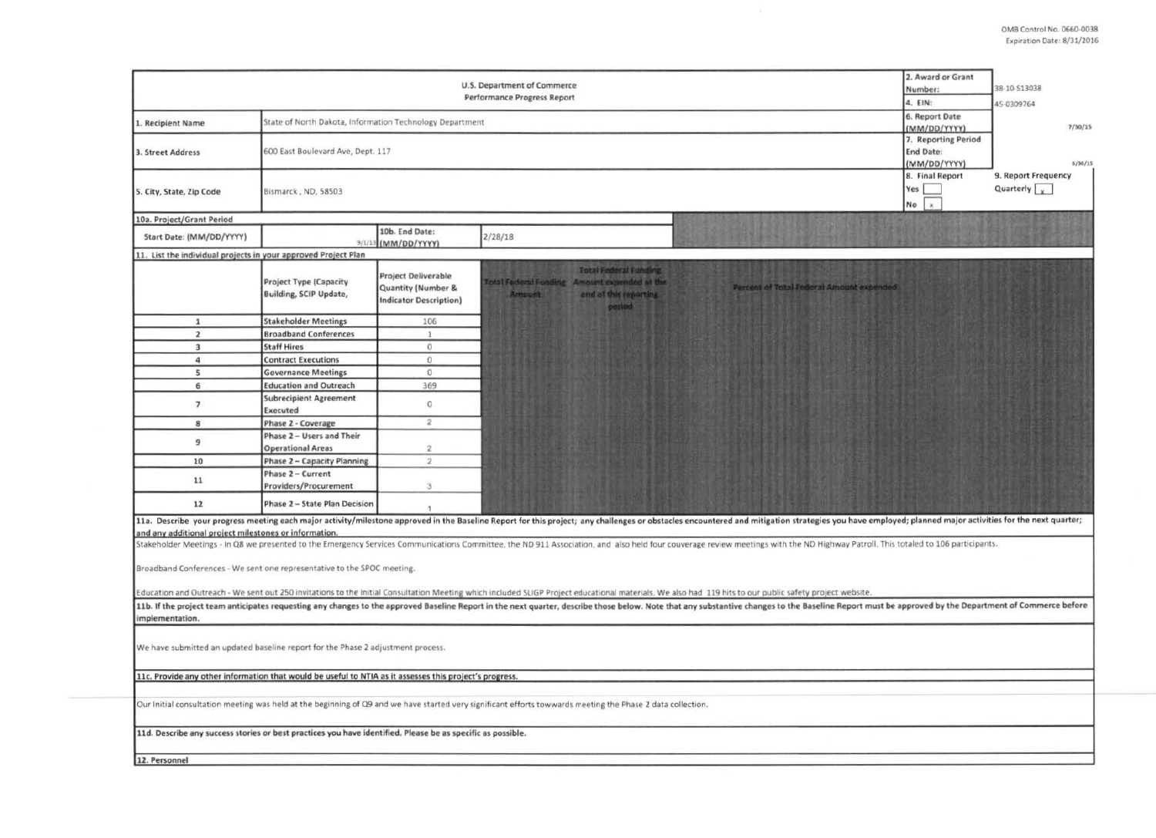|                                                                                                                                                             | 2. Award or Grant<br>Number:<br>4. EIN:                        | 38-10-513038                                                                      |                                                                                                                                                                                                                                                                                                                                                                                                                                                                  |  |  |  |  |  |  |
|-------------------------------------------------------------------------------------------------------------------------------------------------------------|----------------------------------------------------------------|-----------------------------------------------------------------------------------|------------------------------------------------------------------------------------------------------------------------------------------------------------------------------------------------------------------------------------------------------------------------------------------------------------------------------------------------------------------------------------------------------------------------------------------------------------------|--|--|--|--|--|--|
|                                                                                                                                                             |                                                                | 6. Report Date                                                                    | 45-0309764                                                                                                                                                                                                                                                                                                                                                                                                                                                       |  |  |  |  |  |  |
| 1. Recipient Name                                                                                                                                           | State of North Dakota, Information Technology Department       | (MM/DD/YYYY)                                                                      | 7/30/15                                                                                                                                                                                                                                                                                                                                                                                                                                                          |  |  |  |  |  |  |
| 3. Street Address                                                                                                                                           | 600 East Boulevard Ave, Dept. 117                              | 7. Reporting Period<br>End Date:<br>(MM/DD/YYYY)                                  | 6/30/15                                                                                                                                                                                                                                                                                                                                                                                                                                                          |  |  |  |  |  |  |
| 5. City, State, Zip Code                                                                                                                                    | Bismarck, ND, 58503                                            | 8. Final Report<br>Yes  <br>$\mathbf{x}$<br>No                                    | 9. Report Frequency<br>Quarterly $\sqrt{\sqrt{2}}$                                                                                                                                                                                                                                                                                                                                                                                                               |  |  |  |  |  |  |
| 10a. Project/Grant Period                                                                                                                                   |                                                                |                                                                                   |                                                                                                                                                                                                                                                                                                                                                                                                                                                                  |  |  |  |  |  |  |
| Start Date: (MM/DD/YYYY)                                                                                                                                    | 9/1/                                                           | 10b. End Date:<br>(MM/DD/YYYY)                                                    | 2/28/18                                                                                                                                                                                                                                                                                                                                                                                                                                                          |  |  |  |  |  |  |
| 11. List the individual projects in your approved Project Plan                                                                                              |                                                                |                                                                                   |                                                                                                                                                                                                                                                                                                                                                                                                                                                                  |  |  |  |  |  |  |
|                                                                                                                                                             | <b>Project Type (Capacity</b><br><b>Building, SCIP Update,</b> | <b>Project Deliverable</b><br>Quantity (Number &<br><b>Indicator Description)</b> | <b>Total Federal Funding</b><br>otal Federal Fonding Amount expended at the<br>Percent of Total Federal Amount expended<br><b>Amount</b><br>end of this reporting<br>period                                                                                                                                                                                                                                                                                      |  |  |  |  |  |  |
| $\mathbf 1$                                                                                                                                                 | <b>Stakeholder Meetings</b>                                    | 106                                                                               |                                                                                                                                                                                                                                                                                                                                                                                                                                                                  |  |  |  |  |  |  |
| $\overline{2}$                                                                                                                                              | <b>Broadband Conferences</b>                                   | 1                                                                                 |                                                                                                                                                                                                                                                                                                                                                                                                                                                                  |  |  |  |  |  |  |
| $\mathbf{3}$                                                                                                                                                | <b>Staff Hires</b>                                             | $\mathbf{0}$                                                                      |                                                                                                                                                                                                                                                                                                                                                                                                                                                                  |  |  |  |  |  |  |
| $\overline{a}$                                                                                                                                              | <b>Contract Executions</b>                                     | $\Omega$                                                                          |                                                                                                                                                                                                                                                                                                                                                                                                                                                                  |  |  |  |  |  |  |
| 5                                                                                                                                                           | <b>Governance Meetings</b>                                     | $\mathbb O$                                                                       |                                                                                                                                                                                                                                                                                                                                                                                                                                                                  |  |  |  |  |  |  |
| 6                                                                                                                                                           | <b>Education and Outreach</b>                                  | 369                                                                               |                                                                                                                                                                                                                                                                                                                                                                                                                                                                  |  |  |  |  |  |  |
| $\overline{\phantom{a}}$                                                                                                                                    | <b>Subrecipient Agreement</b><br>Executed                      | $\alpha$                                                                          |                                                                                                                                                                                                                                                                                                                                                                                                                                                                  |  |  |  |  |  |  |
| 8                                                                                                                                                           | Phase 2 - Coverage                                             | $\mathbf{2}$                                                                      |                                                                                                                                                                                                                                                                                                                                                                                                                                                                  |  |  |  |  |  |  |
| 9                                                                                                                                                           | Phase 2 - Users and Their<br><b>Operational Areas</b>          | $\mathbb{Z}$                                                                      |                                                                                                                                                                                                                                                                                                                                                                                                                                                                  |  |  |  |  |  |  |
| 10                                                                                                                                                          | Phase 2 - Capacity Planning                                    | $\overline{\mathbf{2}}$                                                           |                                                                                                                                                                                                                                                                                                                                                                                                                                                                  |  |  |  |  |  |  |
| 11                                                                                                                                                          | Phase 2 - Current<br>Providers/Procurement                     | 3                                                                                 |                                                                                                                                                                                                                                                                                                                                                                                                                                                                  |  |  |  |  |  |  |
| 12                                                                                                                                                          | Phase 2 - State Plan Decision                                  | И.                                                                                |                                                                                                                                                                                                                                                                                                                                                                                                                                                                  |  |  |  |  |  |  |
| and any additional project milestones or information.                                                                                                       |                                                                |                                                                                   | 11a. Describe your progress meeting each major activity/milestone approved in the Baseline Report for this project; any challenges or obstacles encountered and mitigation strategies you have employed; planned major activit<br>Stakeholder Meetings - In Q8 we presented to the Emergency Services Communications Committee, the ND 911 Association, and also held four couverage review meetings with the ND Highway Patroll. This totaled to 106 participan |  |  |  |  |  |  |
| Broadband Conferences - We sent one representative to the SPOC meeting.                                                                                     |                                                                |                                                                                   |                                                                                                                                                                                                                                                                                                                                                                                                                                                                  |  |  |  |  |  |  |
|                                                                                                                                                             |                                                                |                                                                                   | Education and Outreach - We sent out 250 invitations to the Initial Consultation Meeting which included SLIGP Project educational materials. We also had 119 hits to our public safety project website.                                                                                                                                                                                                                                                          |  |  |  |  |  |  |
| implementation.                                                                                                                                             |                                                                |                                                                                   | 11b. If the project team anticipates requesting any changes to the approved Baseline Report in the next quarter, describe those below. Note that any substantive changes to the Baseline Report must be approved by the Depart                                                                                                                                                                                                                                   |  |  |  |  |  |  |
| We have submitted an updated baseline report for the Phase 2 adjustment process.                                                                            |                                                                |                                                                                   |                                                                                                                                                                                                                                                                                                                                                                                                                                                                  |  |  |  |  |  |  |
| 11c. Provide any other information that would be useful to NTIA as it assesses this project's progress.                                                     |                                                                |                                                                                   |                                                                                                                                                                                                                                                                                                                                                                                                                                                                  |  |  |  |  |  |  |
| Our Initial consultation meeting was held at the beginning of Q9 and we have started very significant efforts towwards meeting the Phase 2 data collection. |                                                                |                                                                                   |                                                                                                                                                                                                                                                                                                                                                                                                                                                                  |  |  |  |  |  |  |
| 11d. Describe any success stories or best practices you have identified. Please be as specific as possible.                                                 |                                                                |                                                                                   |                                                                                                                                                                                                                                                                                                                                                                                                                                                                  |  |  |  |  |  |  |
| 12. Personnel                                                                                                                                               |                                                                |                                                                                   |                                                                                                                                                                                                                                                                                                                                                                                                                                                                  |  |  |  |  |  |  |
|                                                                                                                                                             |                                                                |                                                                                   |                                                                                                                                                                                                                                                                                                                                                                                                                                                                  |  |  |  |  |  |  |